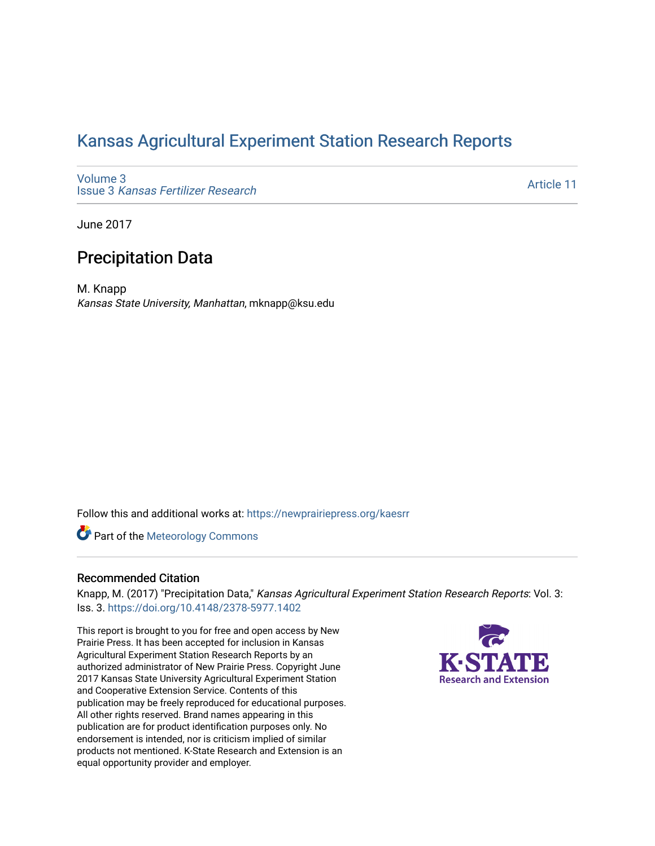## [Kansas Agricultural Experiment Station Research Reports](https://newprairiepress.org/kaesrr)

[Volume 3](https://newprairiepress.org/kaesrr/vol3) Issue 3 [Kansas Fertilizer Research](https://newprairiepress.org/kaesrr/vol3/iss3)

[Article 11](https://newprairiepress.org/kaesrr/vol3/iss3/11) 

June 2017

## Precipitation Data

M. Knapp Kansas State University, Manhattan, mknapp@ksu.edu

Follow this and additional works at: [https://newprairiepress.org/kaesrr](https://newprairiepress.org/kaesrr?utm_source=newprairiepress.org%2Fkaesrr%2Fvol3%2Fiss3%2F11&utm_medium=PDF&utm_campaign=PDFCoverPages) 

**Part of the Meteorology Commons** 

#### Recommended Citation

Knapp, M. (2017) "Precipitation Data," Kansas Agricultural Experiment Station Research Reports: Vol. 3: Iss. 3. <https://doi.org/10.4148/2378-5977.1402>

This report is brought to you for free and open access by New Prairie Press. It has been accepted for inclusion in Kansas Agricultural Experiment Station Research Reports by an authorized administrator of New Prairie Press. Copyright June 2017 Kansas State University Agricultural Experiment Station and Cooperative Extension Service. Contents of this publication may be freely reproduced for educational purposes. All other rights reserved. Brand names appearing in this publication are for product identification purposes only. No endorsement is intended, nor is criticism implied of similar products not mentioned. K-State Research and Extension is an equal opportunity provider and employer.

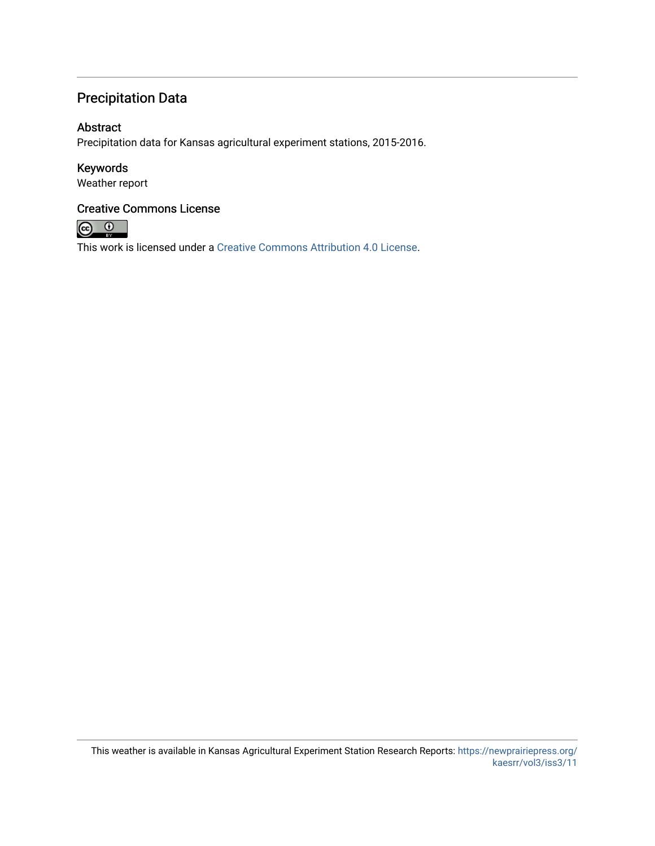## Precipitation Data

#### Abstract

Precipitation data for Kansas agricultural experiment stations, 2015-2016.

### Keywords

Weather report

### Creative Commons License



This work is licensed under a [Creative Commons Attribution 4.0 License](https://creativecommons.org/licenses/by/4.0/).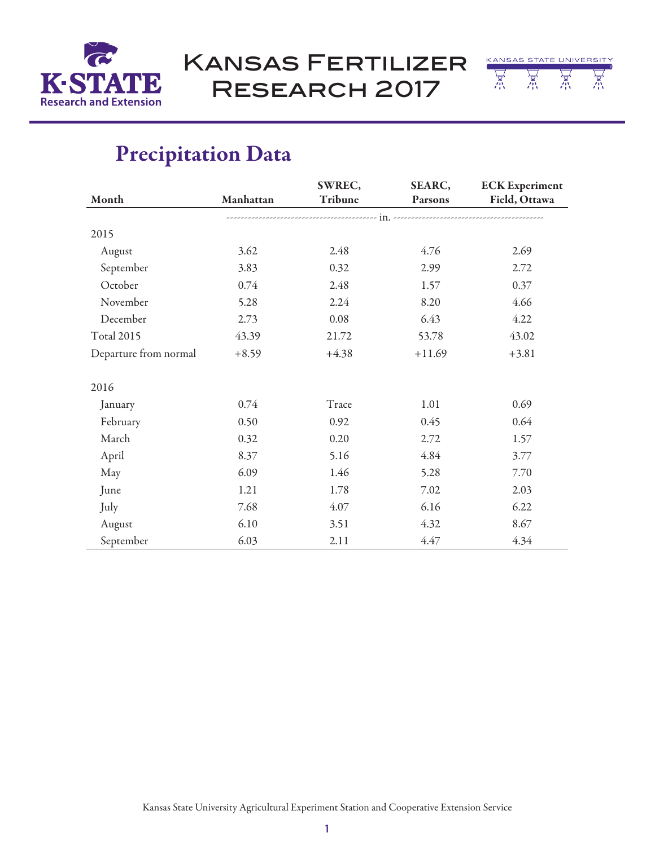

Kansas Fertilizer Research 2017



|                       |           | SWREC,  | SEARC,   | <b>ECK</b> Experiment |  |
|-----------------------|-----------|---------|----------|-----------------------|--|
| Month                 | Manhattan | Tribune | Parsons  | Field, Ottawa         |  |
|                       |           |         |          |                       |  |
| 2015                  |           |         |          |                       |  |
| August                | 3.62      | 2.48    | 4.76     | 2.69                  |  |
| September             | 3.83      | 0.32    | 2.99     | 2.72                  |  |
| October               | 0.74      | 2.48    | 1.57     | 0.37                  |  |
| November              | 5.28      | 2.24    | 8.20     | 4.66                  |  |
| December              | 2.73      | 0.08    | 6.43     | 4.22                  |  |
| <b>Total 2015</b>     | 43.39     | 21.72   | 53.78    | 43.02                 |  |
| Departure from normal | $+8.59$   | $+4.38$ | $+11.69$ | $+3.81$               |  |
|                       |           |         |          |                       |  |
| 2016                  |           |         |          |                       |  |
| January               | 0.74      | Trace   | 1.01     | 0.69                  |  |
| February              | 0.50      | 0.92    | 0.45     | 0.64                  |  |
| March                 | 0.32      | 0.20    | 2.72     | 1.57                  |  |
| April                 | 8.37      | 5.16    | 4.84     | 3.77                  |  |
| May                   | 6.09      | 1.46    | 5.28     | 7.70                  |  |
| June                  | 1.21      | 1.78    | 7.02     | 2.03                  |  |
| July                  | 7.68      | 4.07    | 6.16     | 6.22                  |  |
| August                | 6.10      | 3.51    | 4.32     | 8.67                  |  |
| September             | 6.03      | 2.11    | 4.47     | 4.34                  |  |

# Precipitation Data